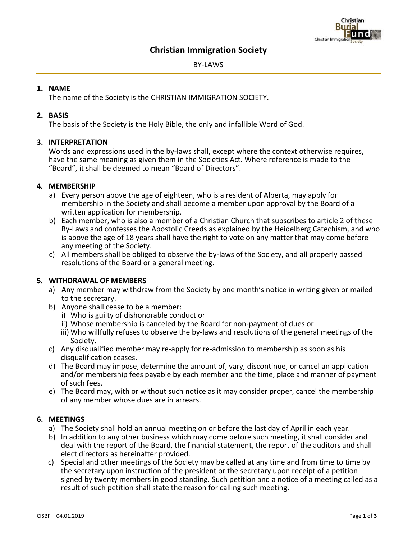# **Christian Immigration Society**

BY-LAWS

## **1. NAME**

The name of the Society is the CHRISTIAN IMMIGRATION SOCIETY.

## **2. BASIS**

The basis of the Society is the Holy Bible, the only and infallible Word of God.

## **3. INTERPRETATION**

Words and expressions used in the by-laws shall, except where the context otherwise requires, have the same meaning as given them in the Societies Act. Where reference is made to the "Board", it shall be deemed to mean "Board of Directors".

## **4***.* **MEMBERSHIP**

- a) Every person above the age of eighteen, who is a resident of Alberta, may apply for membership in the Society and shall become a member upon approval by the Board of a written application for membership.
- b) Each member, who is also a member of a Christian Church that subscribes to article 2 of these By-Laws and confesses the Apostolic Creeds as explained by the Heidelberg Catechism, and who is above the age of 18 years shall have the right to vote on any matter that may come before any meeting of the Society.
- c) All members shall be obliged to observe the by-laws of the Society, and all properly passed resolutions of the Board or a general meeting.

# **5***.* **WITHDRAWAL OF MEMBERS**

- a) Any member may withdraw from the Society by one month's notice in writing given or mailed to the secretary.
- b) Anyone shall cease to be a member:
	- i) Who is guilty of dishonorable conduct or
	- ii) Whose membership is canceled by the Board for non-payment of dues or
	- iii) Who willfully refuses to observe the by-laws and resolutions of the general meetings of the Society.
- c) Any disqualified member may re-apply for re-admission to membership as soon as his disqualification ceases.
- d) The Board may impose, determine the amount of, vary, discontinue, or cancel an application and/or membership fees payable by each member and the time, place and manner of payment of such fees.
- e) The Board may, with or without such notice as it may consider proper, cancel the membership of any member whose dues are in arrears.

### **6. MEETINGS**

- a) The Society shall hold an annual meeting on or before the last day of April in each year.
- b) In addition to any other business which may come before such meeting, it shall consider and deal with the report of the Board, the financial statement, the report of the auditors and shall elect directors as hereinafter provided.
- c) Special and other meetings of the Society may be called at any time and from time to time by the secretary upon instruction of the president or the secretary upon receipt of a petition signed by twenty members in good standing. Such petition and a notice of a meeting called as a result of such petition shall state the reason for calling such meeting.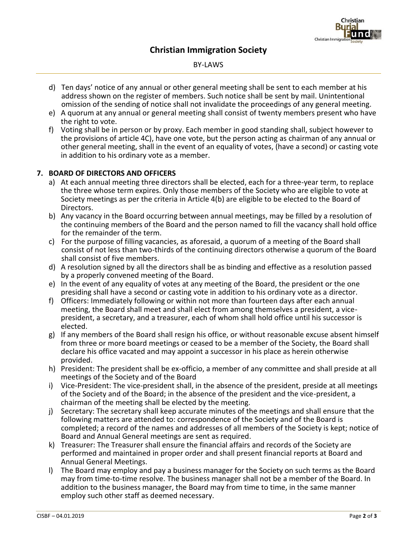# **Christian Immigration Society**

### BY-LAWS

- d) Ten days' notice of any annual or other general meeting shall be sent to each member at his address shown on the register of members. Such notice shall be sent by mail. Unintentional omission of the sending of notice shall not invalidate the proceedings of any general meeting.
- e) A quorum at any annual or general meeting shall consist of twenty members present who have the right to vote.
- f) Voting shall be in person or by proxy. Each member in good standing shall, subject however to the provisions of article 4C), have one vote, but the person acting as chairman of any annual or other general meeting, shall in the event of an equality of votes, (have a second) or casting vote in addition to his ordinary vote as a member.

# **7. BOARD OF DIRECTORS AND OFFICERS**

- a) At each annual meeting three directors shall be elected, each for a three-year term, to replace the three whose term expires. Only those members of the Society who are eligible to vote at Society meetings as per the criteria in Article 4(b) are eligible to be elected to the Board of Directors.
- b) Any vacancy in the Board occurring between annual meetings, may be filled by a resolution of the continuing members of the Board and the person named to fill the vacancy shall hold office for the remainder of the term.
- c) For the purpose of filling vacancies, as aforesaid, a quorum of a meeting of the Board shall consist of not less than two-thirds of the continuing directors otherwise a quorum of the Board shall consist of five members.
- d) A resolution signed by all the directors shall be as binding and effective as a resolution passed by a properly convened meeting of the Board.
- e) In the event of any equality of votes at any meeting of the Board, the president or the one presiding shall have a second or casting vote in addition to his ordinary vote as a director.
- f) Officers: Immediately following or within not more than fourteen days after each annual meeting, the Board shall meet and shall elect from among themselves a president, a vicepresident, a secretary, and a treasurer, each of whom shall hold office until his successor is elected.
- g) If any members of the Board shall resign his office, or without reasonable excuse absent himself from three or more board meetings or ceased to be a member of the Society, the Board shall declare his office vacated and may appoint a successor in his place as herein otherwise provided.
- h) President: The president shall be ex-officio, a member of any committee and shall preside at all meetings of the Society and of the Board
- i) Vice-President: The vice-president shall, in the absence of the president, preside at all meetings of the Society and of the Board; in the absence of the president and the vice-president, a chairman of the meeting shall be elected by the meeting.
- j) Secretary: The secretary shall keep accurate minutes of the meetings and shall ensure that the following matters are attended to: correspondence of the Society and of the Board is completed; a record of the names and addresses of all members of the Society is kept; notice of Board and Annual General meetings are sent as required.
- k) Treasurer: The Treasurer shall ensure the financial affairs and records of the Society are performed and maintained in proper order and shall present financial reports at Board and Annual General Meetings.
- l) The Board may employ and pay a business manager for the Society on such terms as the Board may from time-to-time resolve. The business manager shall not be a member of the Board. In addition to the business manager, the Board may from time to time, in the same manner employ such other staff as deemed necessary.